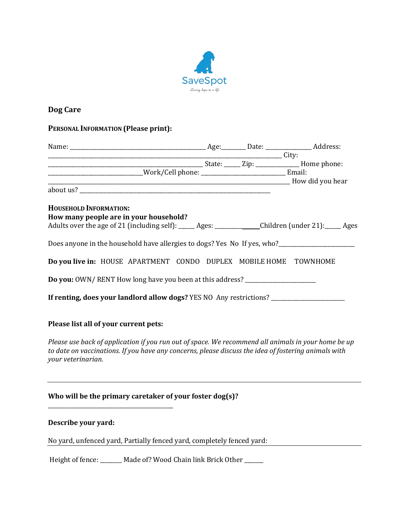

# **Dog Care**

## **PERSONAL INFORMATION (Please print):**

| <b>Example 2</b> City:                                                                                                                                                                                                            |  |  |
|-----------------------------------------------------------------------------------------------------------------------------------------------------------------------------------------------------------------------------------|--|--|
|                                                                                                                                                                                                                                   |  |  |
| _____________________________Work/Cell phone: _________________________________Email:                                                                                                                                             |  |  |
|                                                                                                                                                                                                                                   |  |  |
|                                                                                                                                                                                                                                   |  |  |
| <b>HOUSEHOLD INFORMATION:</b>                                                                                                                                                                                                     |  |  |
| How many people are in your household?                                                                                                                                                                                            |  |  |
| Adults over the age of 21 (including self): _____ Ages: ___________ Children (under 21): ____ Ages                                                                                                                                |  |  |
| Does anyone in the household have allergies to dogs? Yes No If yes, who?____________________________                                                                                                                              |  |  |
| Do you live in: HOUSE APARTMENT CONDO DUPLEX MOBILE HOME TOWNHOME                                                                                                                                                                 |  |  |
| Do you: OWN/RENT How long have you been at this address? _______________________                                                                                                                                                  |  |  |
| If renting, does your landlord allow dogs? YES NO Any restrictions? _____________                                                                                                                                                 |  |  |
|                                                                                                                                                                                                                                   |  |  |
| Please list all of your current pets:                                                                                                                                                                                             |  |  |
| Please use back of application if you run out of space. We recommend all animals in your home be up<br>to date on vaccinations. If you have any concerns, please discuss the idea of fostering animals with<br>your veterinarian. |  |  |

## Who will be the primary caretaker of your foster dog(s)?

\_\_\_\_\_\_\_\_\_\_\_\_\_\_\_\_\_\_\_\_\_\_\_\_\_\_\_\_\_\_\_\_\_\_\_\_\_\_\_\_\_\_\_\_\_\_ 

### **Describe your yard:**

No yard, unfenced yard, Partially fenced yard, completely fenced yard:

Height of fence: \_\_\_\_\_\_\_ Made of? Wood Chain link Brick Other \_\_\_\_\_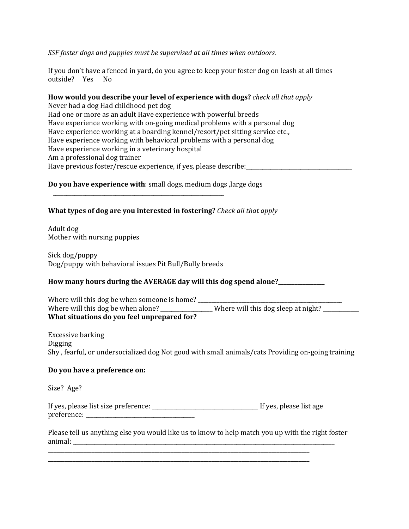#### *SSF* foster dogs and puppies must be supervised at all times when outdoors.

If you don't have a fenced in yard, do you agree to keep your foster dog on leash at all times outside? Yes No

## **How would you describe your level of experience with dogs?** *check all that apply*

Never had a dog Had childhood pet dog Had one or more as an adult Have experience with powerful breeds Have experience working with on-going medical problems with a personal dog Have experience working at a boarding kennel/resort/pet sitting service etc., Have experience working with behavioral problems with a personal dog Have experience working in a veterinary hospital Am a professional dog trainer Have previous foster/rescue experience, if yes, please describe:

#### **Do you have experience with**: small dogs, medium dogs, large dogs

\_\_\_\_\_\_\_\_\_\_\_\_\_\_\_\_\_\_\_\_\_\_\_\_\_\_\_\_\_\_\_\_\_\_\_\_\_\_\_\_\_\_\_\_\_\_\_\_\_\_\_\_\_\_\_\_\_\_\_\_\_\_\_ 

## **What types of dog are you interested in fostering?** *Check all that apply*

Adult dog Mother with nursing puppies

Sick dog/puppy Dog/puppy with behavioral issues Pit Bull/Bully breeds

#### How many hours during the AVERAGE day will this dog spend alone?

| Where will this dog be when someone is home? |                                       |
|----------------------------------------------|---------------------------------------|
| Where will this dog be when alone?           | . Where will this dog sleep at night? |
| What situations do you feel unprepared for?  |                                       |

Excessive barking Digging Shy, fearful, or undersocialized dog Not good with small animals/cats Providing on-going training

#### Do you have a preference on:

Size? Age?

If yes, please list size preference: \_\_\_\_\_\_\_\_\_\_\_\_\_\_\_\_\_\_\_\_\_\_\_\_\_\_\_\_\_\_\_\_\_\_\_\_\_\_\_ If yes, please list age preference: \_\_\_\_\_\_\_\_\_\_\_\_\_\_\_\_\_\_\_\_\_\_\_\_\_\_\_\_\_\_\_\_\_\_\_\_\_\_\_\_ 

**\_\_\_\_\_\_\_\_\_\_\_\_\_\_\_\_\_\_\_\_\_\_\_\_\_\_\_\_\_\_\_\_\_\_\_\_\_\_\_\_\_\_\_\_\_\_\_\_\_\_\_\_\_\_\_\_\_\_\_\_\_\_\_\_\_\_\_\_\_\_\_\_\_\_\_\_\_\_\_\_\_\_\_\_\_\_\_\_\_\_\_\_\_\_\_\_ \_\_\_\_\_\_\_\_\_\_\_\_\_\_\_\_\_\_\_\_\_\_\_\_\_\_\_\_\_\_\_\_\_\_\_\_\_\_\_\_\_\_\_\_\_\_\_\_\_\_\_\_\_\_\_\_\_\_\_\_\_\_\_\_\_\_\_\_\_\_\_\_\_\_\_\_\_\_\_\_\_\_\_\_\_\_\_\_\_\_\_\_\_\_\_\_** 

Please tell us anything else you would like us to know to help match you up with the right foster  $\alpha$ nimal:  $\alpha$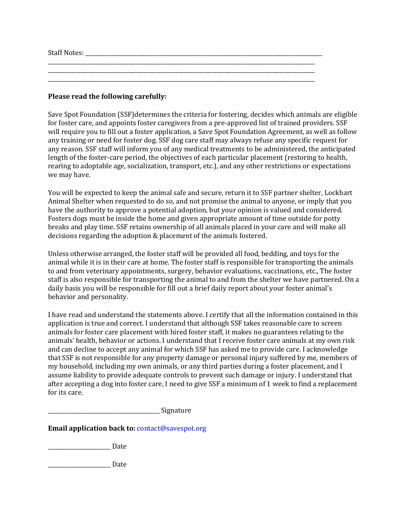Staff Notes:  $\Box$ 

**Please read the following carefully:** 

Save Spot Foundation (SSF)determines the criteria for fostering, decides which animals are eligible for foster care, and appoints foster caregivers from a pre-approved list of trained providers. SSF will require you to fill out a foster application, a Save Spot Foundation Agreement, as well as follow any training or need for foster dog. SSF dog care staff may always refuse any specific request for any reason. SSF staff will inform you of any medical treatments to be administered, the anticipated length of the foster-care period, the objectives of each particular placement (restoring to health, rearing to adoptable age, socialization, transport, etc.), and any other restrictions or expectations we may have.

\_\_\_\_\_\_\_\_\_\_\_\_\_\_\_\_\_\_\_\_\_\_\_\_\_\_\_\_\_\_\_\_\_\_\_\_\_\_\_\_\_\_\_\_\_\_\_\_\_\_\_\_\_\_\_\_\_\_\_\_\_\_\_\_\_\_\_\_\_\_\_\_\_\_\_\_\_\_\_\_\_\_\_\_\_\_\_\_\_\_\_\_\_\_\_\_\_\_ 

\_\_\_\_\_\_\_\_\_\_\_\_\_\_\_\_\_\_\_\_\_\_\_\_\_\_\_\_\_\_\_\_\_\_\_\_\_\_\_\_\_\_\_\_\_\_\_\_\_\_\_\_\_\_\_\_\_\_\_\_\_\_\_\_\_\_\_\_\_\_\_\_\_\_\_\_\_\_\_\_\_\_\_\_\_\_\_\_\_\_\_\_\_\_\_\_\_\_ 

You will be expected to keep the animal safe and secure, return it to SSF partner shelter, Lockhart Animal Shelter when requested to do so, and not promise the animal to anyone, or imply that you have the authority to approve a potential adoption, but your opinion is valued and considered. Fosters dogs must be inside the home and given appropriate amount of time outside for potty breaks and play time. SSF retains ownership of all animals placed in your care and will make all decisions regarding the adoption & placement of the animals fostered.

Unless otherwise arranged, the foster staff will be provided all food, bedding, and toys for the animal while it is in their care at home. The foster staff is responsible for transporting the animals to and from veterinary appointments, surgery, behavior evaluations, vaccinations, etc., The foster staff is also responsible for transporting the animal to and from the shelter we have partnered. On a daily basis you will be responsible for fill out a brief daily report about your foster animal's behavior and personality.

I have read and understand the statements above. I certify that all the information contained in this application is true and correct. I understand that although SSF takes reasonable care to screen animals for foster care placement with hired foster staff, it makes no guarantees relating to the animals' health, behavior or actions. I understand that I receive foster care animals at my own risk and can decline to accept any animal for which SSF has asked me to provide care. I acknowledge that SSF is not responsible for any property damage or personal injury suffered by me, members of my household, including my own animals, or any third parties during a foster placement, and I assume liability to provide adequate controls to prevent such damage or injury. I understand that after accepting a dog into foster care, I need to give SSF a minimum of 1 week to find a replacement for its care.

\_\_\_\_\_\_\_\_\_\_\_\_\_\_\_\_\_\_\_\_\_\_\_\_\_\_\_\_\_\_\_\_\_\_\_\_\_\_\_\_\_ Signature 

**Email application back to:** contact@savespot.org

\_\_\_\_\_\_\_\_\_\_\_\_\_\_\_\_\_\_\_\_\_\_\_ Date 

\_\_\_\_\_\_\_\_\_\_\_\_\_\_\_\_\_\_\_\_\_\_\_ Date